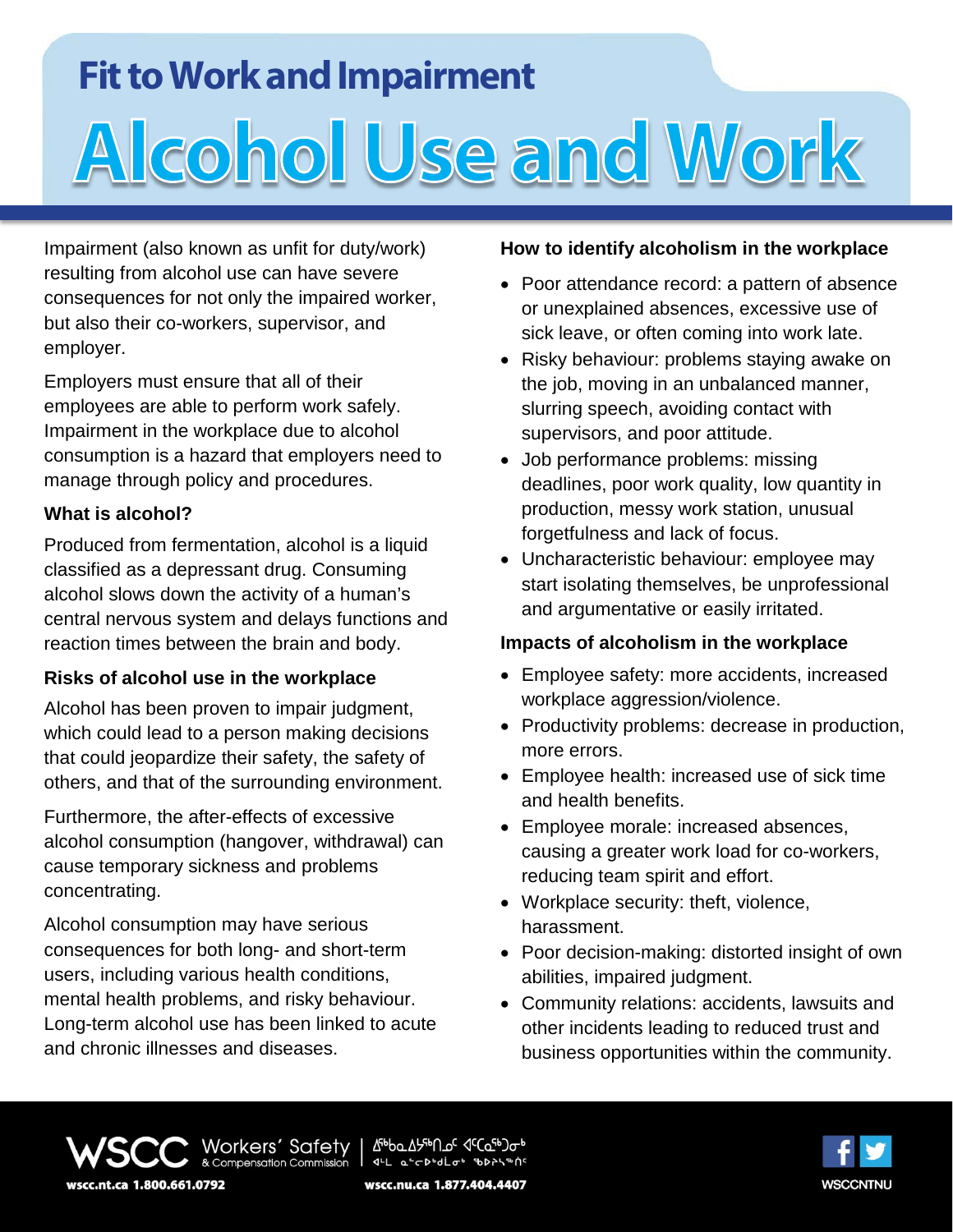## **Fit to Work and Impairment**

# Alcohol Use and Work

Impairment (also known as unfit for duty/work) resulting from alcohol use can have severe consequences for not only the impaired worker, but also their co-workers, supervisor, and employer.

Employers must ensure that all of their employees are able to perform work safely. Impairment in the workplace due to alcohol consumption is a hazard that employers need to manage through policy and procedures.

### **What is alcohol?**

Produced from fermentation, alcohol is a liquid classified as a depressant drug. Consuming alcohol slows down the activity of a human's central nervous system and delays functions and reaction times between the brain and body.

### **Risks of alcohol use in the workplace**

Alcohol has been proven to impair judgment, which could lead to a person making decisions that could jeopardize their safety, the safety of others, and that of the surrounding environment.

Furthermore, the after-effects of excessive alcohol consumption (hangover, withdrawal) can cause temporary sickness and problems concentrating.

Alcohol consumption may have serious consequences for both long- and short-term users, including various health conditions, mental health problems, and risky behaviour. Long-term alcohol use has been linked to acute and chronic illnesses and diseases.

### **How to identify alcoholism in the workplace**

- Poor attendance record: a pattern of absence or unexplained absences, excessive use of sick leave, or often coming into work late.
- Risky behaviour: problems staying awake on the job, moving in an unbalanced manner, slurring speech, avoiding contact with supervisors, and poor attitude.
- Job performance problems: missing deadlines, poor work quality, low quantity in production, messy work station, unusual forgetfulness and lack of focus.
- Uncharacteristic behaviour: employee may start isolating themselves, be unprofessional and argumentative or easily irritated.

### **Impacts of alcoholism in the workplace**

- Employee safety: more accidents, increased workplace aggression/violence.
- Productivity problems: decrease in production, more errors.
- Employee health: increased use of sick time and health benefits.
- Employee morale: increased absences, causing a greater work load for co-workers, reducing team spirit and effort.
- Workplace security: theft, violence, harassment.
- Poor decision-making: distorted insight of own abilities, impaired judgment.
- Community relations: accidents, lawsuits and other incidents leading to reduced trust and business opportunities within the community.

Δªρρσγρειθτος ας (σερ) αρρ Workers' Safety 14L a-chodlot bbthshing wscc.nt.ca 1.800.661.0792 wscc.nu.ca 1.877.404.4407